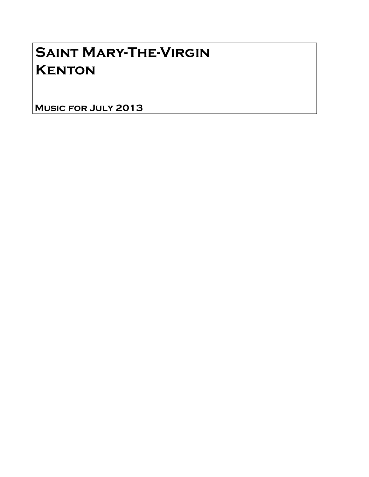# Saint Mary-The-Virgin **KENTON**

Music for July 2013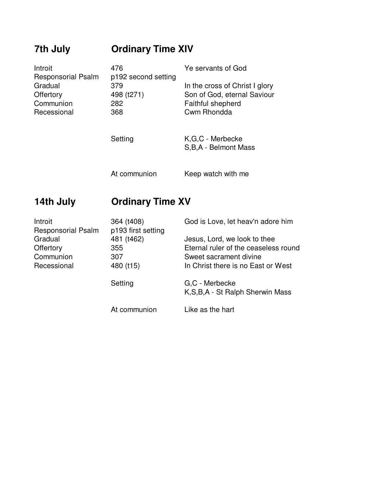## **7th July Ordinary Time XIV**

| Introit<br><b>Responsorial Psalm</b> | 476<br>p192 second setting | Ye servants of God                                            |
|--------------------------------------|----------------------------|---------------------------------------------------------------|
| Gradual<br>Offertory                 | 379<br>498 (t271)          | In the cross of Christ I glory<br>Son of God, eternal Saviour |
| Communion                            | 282                        | Faithful shepherd                                             |
| Recessional                          | 368                        | Cwm Rhondda                                                   |
|                                      | Setting                    | K,G,C - Merbecke<br>S, B, A - Belmont Mass                    |

## **14th July Ordinary Time XV**

| Introit<br><b>Responsorial Psalm</b> | 364 (t408)<br>p193 first setting | God is Love, let heav'n adore him                    |
|--------------------------------------|----------------------------------|------------------------------------------------------|
| Gradual                              | 481 (t462)                       | Jesus, Lord, we look to thee                         |
| Offertory                            | 355                              | Eternal ruler of the ceaseless round                 |
| Communion                            | 307                              | Sweet sacrament divine                               |
| Recessional                          | 480 (t15)                        | In Christ there is no East or West                   |
|                                      | Setting                          | G.C - Merbecke<br>K, S, B, A - St Ralph Sherwin Mass |
|                                      | At communion                     | Like as the hart                                     |

At communion Keep watch with me